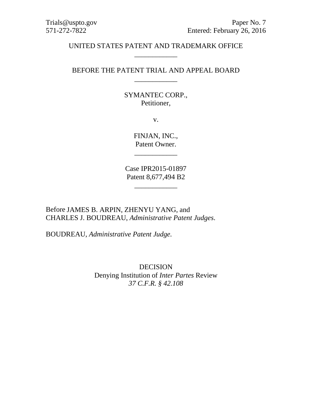## UNITED STATES PATENT AND TRADEMARK OFFICE \_\_\_\_\_\_\_\_\_\_\_\_

## BEFORE THE PATENT TRIAL AND APPEAL BOARD \_\_\_\_\_\_\_\_\_\_\_\_

## SYMANTEC CORP., Petitioner,

v.

FINJAN, INC., Patent Owner.

\_\_\_\_\_\_\_\_\_\_\_\_

Case IPR2015-01897 Patent 8,677,494 B2

\_\_\_\_\_\_\_\_\_\_\_\_

Before JAMES B. ARPIN, ZHENYU YANG, and CHARLES J. BOUDREAU, *Administrative Patent Judges*.

BOUDREAU, *Administrative Patent Judge.*

DECISION Denying Institution of *Inter Partes* Review *37 C.F.R. § 42.108*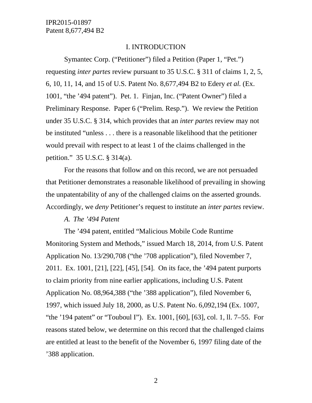#### I. INTRODUCTION

Symantec Corp. ("Petitioner") filed a Petition (Paper 1, "Pet.") requesting *inter partes* review pursuant to 35 U.S.C. § 311 of claims 1, 2, 5, 6, 10, 11, 14, and 15 of U.S. Patent No. 8,677,494 B2 to Edery *et al.* (Ex. 1001, "the '494 patent"). Pet. 1. Finjan, Inc. ("Patent Owner") filed a Preliminary Response. Paper 6 ("Prelim. Resp."). We review the Petition under 35 U.S.C. § 314, which provides that an *inter partes* review may not be instituted "unless . . . there is a reasonable likelihood that the petitioner would prevail with respect to at least 1 of the claims challenged in the petition." 35 U.S.C. § 314(a).

For the reasons that follow and on this record, we are not persuaded that Petitioner demonstrates a reasonable likelihood of prevailing in showing the unpatentability of any of the challenged claims on the asserted grounds. Accordingly, we *deny* Petitioner's request to institute an *inter partes* review.

#### *A. The '494 Patent*

The '494 patent, entitled "Malicious Mobile Code Runtime Monitoring System and Methods," issued March 18, 2014, from U.S. Patent Application No. 13/290,708 ("the '708 application"), filed November 7, 2011. Ex. 1001, [21], [22], [45], [54]. On its face, the '494 patent purports to claim priority from nine earlier applications, including U.S. Patent Application No. 08,964,388 ("the '388 application"), filed November 6, 1997, which issued July 18, 2000, as U.S. Patent No. 6,092,194 (Ex. 1007, "the '194 patent" or "Touboul I"). Ex. 1001, [60], [63], col. 1, ll. 7–55. For reasons stated below, we determine on this record that the challenged claims are entitled at least to the benefit of the November 6, 1997 filing date of the '388 application.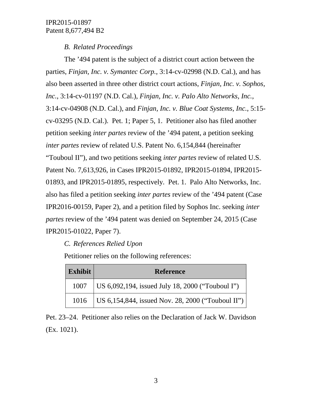## *B. Related Proceedings*

The '494 patent is the subject of a district court action between the parties, *Finjan, Inc. v. Symantec Corp.*, 3:14-cv-02998 (N.D. Cal.), and has also been asserted in three other district court actions, *Finjan, Inc. v. Sophos, Inc.*, 3:14-cv-01197 (N.D. Cal.), *Finjan, Inc. v. Palo Alto Networks, Inc.*, 3:14-cv-04908 (N.D. Cal.), and *Finjan, Inc. v. Blue Coat Systems, Inc.*, 5:15 cv-03295 (N.D. Cal.). Pet. 1; Paper 5, 1. Petitioner also has filed another petition seeking *inter partes* review of the '494 patent, a petition seeking *inter partes* review of related U.S. Patent No. 6,154,844 (hereinafter "Touboul II"), and two petitions seeking *inter partes* review of related U.S. Patent No. 7,613,926, in Cases IPR2015-01892, IPR2015-01894, IPR2015- 01893, and IPR2015-01895, respectively. Pet. 1. Palo Alto Networks, Inc. also has filed a petition seeking *inter partes* review of the '494 patent (Case IPR2016-00159, Paper 2), and a petition filed by Sophos Inc. seeking *inter partes* review of the '494 patent was denied on September 24, 2015 (Case IPR2015-01022, Paper 7).

# *C. References Relied Upon*

Petitioner relies on the following references:

| Exhibit | <b>Reference</b>                                         |  |
|---------|----------------------------------------------------------|--|
| 1007    | US $6,092,194$ , issued July 18, 2000 ("Touboul I")      |  |
|         | 1016   US 6,154,844, issued Nov. 28, 2000 ("Touboul II") |  |

Pet. 23–24. Petitioner also relies on the Declaration of Jack W. Davidson (Ex. 1021).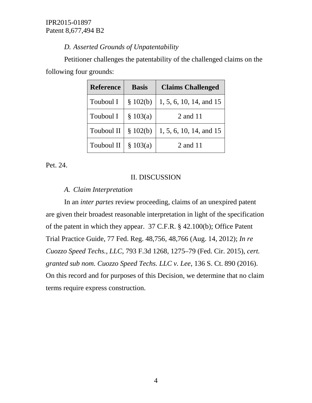## *D. Asserted Grounds of Unpatentability*

Petitioner challenges the patentability of the challenged claims on the following four grounds:

| <b>Reference</b> | <b>Basis</b> | <b>Claims Challenged</b> |
|------------------|--------------|--------------------------|
| Touboul I        | \$102(b)     | 1, 5, 6, 10, 14, and 15  |
| Touboul I        | \$103(a)     | 2 and 11                 |
| Touboul II       | \$102(b)     | 1, 5, 6, 10, 14, and 15  |
| Touboul II       | \$103(a)     | 2 and 11                 |

Pet. 24.

## II. DISCUSSION

## *A. Claim Interpretation*

In an *inter partes* review proceeding, claims of an unexpired patent are given their broadest reasonable interpretation in light of the specification of the patent in which they appear. 37 C.F.R. § 42.100(b); Office Patent Trial Practice Guide, 77 Fed. Reg. 48,756, 48,766 (Aug. 14, 2012); *In re Cuozzo Speed Techs., LLC*, 793 F.3d 1268, 1275–79 (Fed. Cir. 2015), *cert. granted sub nom. Cuozzo Speed Techs. LLC v. Lee*, 136 S. Ct. 890 (2016). On this record and for purposes of this Decision, we determine that no claim terms require express construction.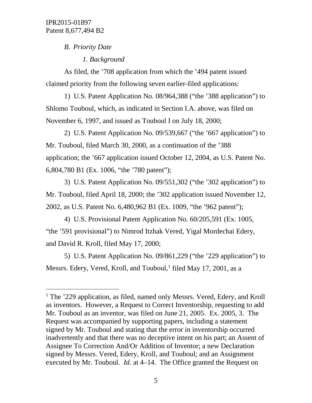## *B. Priority Date*

# *1. Background*

As filed, the '708 application from which the '494 patent issued claimed priority from the following seven earlier-filed applications:

1) U.S. Patent Application No. 08/964,388 ("the '388 application") to Shlomo Touboul, which, as indicated in Section I.A. above, was filed on November 6, 1997, and issued as Touboul I on July 18, 2000;

2) U.S. Patent Application No. 09/539,667 ("the '667 application") to Mr. Touboul, filed March 30, 2000, as a continuation of the '388 application; the '667 application issued October 12, 2004, as U.S. Patent No. 6,804,780 B1 (Ex. 1006, "the '780 patent");

3) U.S. Patent Application No. 09/551,302 ("the '302 application") to Mr. Touboul, filed April 18, 2000; the '302 application issued November 12, 2002, as U.S. Patent No. 6,480,962 B1 (Ex. 1009, "the '962 patent");

4) U.S. Provisional Patent Application No. 60/205,591 (Ex. 1005, "the '591 provisional") to Nimrod Itzhak Vered, Yigal Mordechai Edery, and David R. Kroll, filed May 17, 2000;

5) U.S. Patent Application No. 09/861,229 ("the '229 application") to Messrs. Edery, Vered, Kroll, and Touboul,<sup>[1](#page-4-0)</sup> filed May 17, 2001, as a

<span id="page-4-0"></span><sup>&</sup>lt;sup>1</sup> The '229 application, as filed, named only Messrs. Vered, Edery, and Kroll as inventors. However, a Request to Correct Inventorship, requesting to add Mr. Touboul as an inventor, was filed on June 21, 2005. Ex. 2005, 3. The Request was accompanied by supporting papers, including a statement signed by Mr. Touboul and stating that the error in inventorship occurred inadvertently and that there was no deceptive intent on his part; an Assent of Assignee To Correction And/Or Addition of Inventor; a new Declaration signed by Messrs. Vered, Edery, Kroll, and Touboul; and an Assignment executed by Mr. Touboul. *Id.* at 4–14. The Office granted the Request on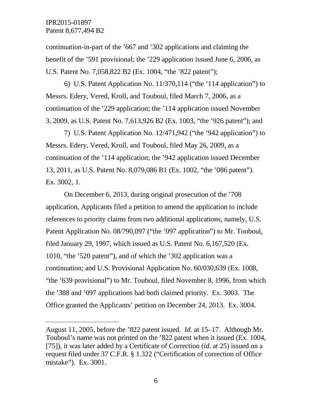$\overline{a}$ 

continuation-in-part of the '667 and '302 applications and claiming the benefit of the '591 provisional; the '229 application issued June 6, 2006, as U.S. Patent No. 7,058,822 B2 (Ex. 1004, "the '822 patent");

6) U.S. Patent Application No. 11/370,114 ("the '114 application") to Messrs. Edery, Vered, Kroll, and Touboul, filed March 7, 2006, as a continuation of the '229 application; the '114 application issued November 3, 2009, as U.S. Patent No. 7,613,926 B2 (Ex. 1003, "the '926 patent"); and

7) U.S. Patent Application No. 12/471,942 ("the '942 application") to Messrs. Edery, Vered, Kroll, and Touboul, filed May 26, 2009, as a continuation of the '114 application; the '942 application issued December 13, 2011, as U.S. Patent No. 8,079,086 B1 (Ex. 1002, "the '086 patent"). Ex. 3002, 1.

On December 6, 2013, during original prosecution of the '708 application, Applicants filed a petition to amend the application to include references to priority claims from two additional applications, namely, U.S. Patent Application No. 08/790,097 ("the '097 application") to Mr. Touboul, filed January 29, 1997, which issued as U.S. Patent No. 6,167,520 (Ex. 1010, "the '520 patent"), and of which the '302 application was a continuation; and U.S. Provisional Application No. 60/030,639 (Ex. 1008, "the '639 provisional") to Mr. Touboul, filed November 8, 1996, from which the '388 and '097 applications had both claimed priority. Ex. 3003. The Office granted the Applicants' petition on December 24, 2013. Ex. 3004.

August 11, 2005, before the '822 patent issued. *Id.* at 15–17. Although Mr. Touboul's name was not printed on the '822 patent when it issued (Ex. 1004, [75]), it was later added by a Certificate of Correction (*id.* at 25) issued on a request filed under 37 C.F.R. § 1.322 ("Certification of correction of Office mistake"). Ex. 3001.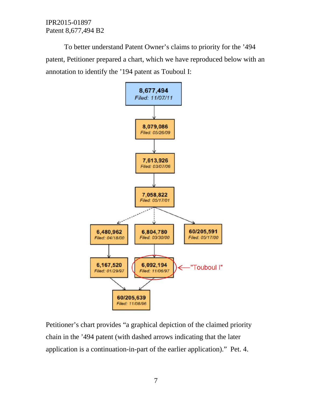To better understand Patent Owner's claims to priority for the '494 patent, Petitioner prepared a chart, which we have reproduced below with an annotation to identify the '194 patent as Touboul I:



Petitioner's chart provides "a graphical depiction of the claimed priority chain in the '494 patent (with dashed arrows indicating that the later application is a continuation-in-part of the earlier application)." Pet. 4.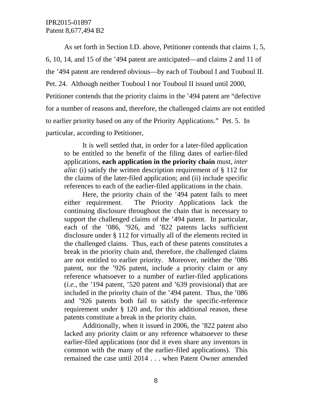As set forth in Section I.D. above, Petitioner contends that claims 1, 5, 6, 10, 14, and 15 of the '494 patent are anticipated—and claims 2 and 11 of the '494 patent are rendered obvious—by each of Touboul I and Touboul II. Pet. 24. Although neither Touboul I nor Touboul II issued until 2000, Petitioner contends that the priority claims in the '494 patent are "defective for a number of reasons and, therefore, the challenged claims are not entitled to earlier priority based on any of the Priority Applications." Pet. 5. In particular, according to Petitioner,

It is well settled that, in order for a later-filed application to be entitled to the benefit of the filing dates of earlier-filed applications, **each application in the priority chain** must, *inter alia*: (i) satisfy the written description requirement of § 112 for the claims of the later-filed application; and (ii) include specific references to each of the earlier-filed applications in the chain.

Here, the priority chain of the '494 patent fails to meet either requirement. The Priority Applications lack the continuing disclosure throughout the chain that is necessary to support the challenged claims of the '494 patent. In particular, each of the '086, '926, and '822 patents lacks sufficient disclosure under § 112 for virtually all of the elements recited in the challenged claims. Thus, each of these patents constitutes a break in the priority chain and, therefore, the challenged claims are not entitled to earlier priority. Moreover, neither the '086 patent, nor the '926 patent, include a priority claim or any reference whatsoever to a number of earlier-filed applications (*i.e.*, the '194 patent, '520 patent and '639 provisional) that are included in the priority chain of the '494 patent. Thus, the '086 and '926 patents both fail to satisfy the specific-reference requirement under § 120 and, for this additional reason, these patents constitute a break in the priority chain.

Additionally, when it issued in 2006, the '822 patent also lacked any priority claim or any reference whatsoever to these earlier-filed applications (nor did it even share any inventors in common with the many of the earlier-filed applications). This remained the case until 2014 . . . when Patent Owner amended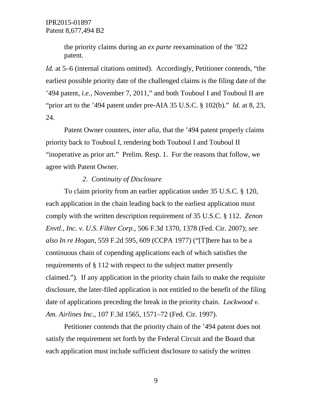the priority claims during an *ex parte* reexamination of the '822 patent.

*Id.* at 5–6 (internal citations omitted). Accordingly, Petitioner contends, "the earliest possible priority date of the challenged claims is the filing date of the '494 patent, *i.e.*, November 7, 2011," and both Touboul I and Touboul II are "prior art to the '494 patent under pre-AIA 35 U.S.C. § 102(b)." *Id.* at 8, 23, 24.

Patent Owner counters, *inter alia*, that the '494 patent properly claims priority back to Touboul I, rendering both Touboul I and Touboul II "inoperative as prior art." Prelim. Resp. 1. For the reasons that follow, we agree with Patent Owner.

#### *2. Continuity of Disclosure*

To claim priority from an earlier application under 35 U.S.C. § 120, each application in the chain leading back to the earliest application must comply with the written description requirement of 35 U.S.C. § 112. *Zenon Envtl., Inc. v. U.S. Filter Corp.*, 506 F.3d 1370, 1378 (Fed. Cir. 2007); *see also In re Hogan*, 559 F.2d 595, 609 (CCPA 1977) ("[T]here has to be a continuous chain of copending applications each of which satisfies the requirements of § 112 with respect to the subject matter presently claimed."). If any application in the priority chain fails to make the requisite disclosure, the later-filed application is not entitled to the benefit of the filing date of applications preceding the break in the priority chain. *Lockwood v. Am. Airlines Inc.*, 107 F.3d 1565, 1571–72 (Fed. Cir. 1997).

Petitioner contends that the priority chain of the '494 patent does not satisfy the requirement set forth by the Federal Circuit and the Board that each application must include sufficient disclosure to satisfy the written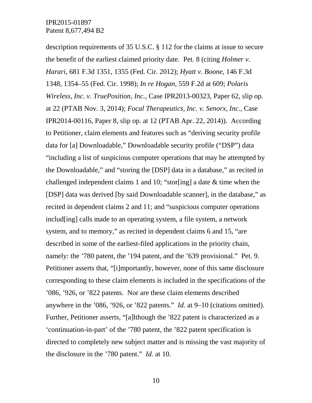description requirements of 35 U.S.C. § 112 for the claims at issue to secure the benefit of the earliest claimed priority date. Pet. 8 (citing *Holmer v. Harari*, 681 F.3d 1351, 1355 (Fed. Cir. 2012); *Hyatt v. Boone*, 146 F.3d 1348, 1354–55 (Fed. Cir. 1998); *In re Hogan*, 559 F.2d at 609; *Polaris Wireless, Inc. v. TruePosition, Inc.*, Case IPR2013-00323, Paper 62, slip op. at 22 (PTAB Nov. 3, 2014); *Focal Therapeutics, Inc. v. Senorx, Inc.*, Case IPR2014-00116, Paper 8, slip op. at 12 (PTAB Apr. 22, 2014)). According to Petitioner, claim elements and features such as "deriving security profile data for [a] Downloadable," Downloadable security profile ("DSP") data "including a list of suspicious computer operations that may be attempted by the Downloadable," and "storing the [DSP] data in a database," as recited in challenged independent claims 1 and 10; "stor[ing] a date & time when the [DSP] data was derived [by said Downloadable scanner], in the database," as recited in dependent claims 2 and 11; and "suspicious computer operations includ[ing] calls made to an operating system, a file system, a network system, and to memory," as recited in dependent claims 6 and 15, "are described in some of the earliest-filed applications in the priority chain, namely: the '780 patent, the '194 patent, and the '639 provisional." Pet. 9. Petitioner asserts that, "[i]mportantly, however, none of this same disclosure corresponding to these claim elements is included in the specifications of the '086, '926, or '822 patents. Nor are these claim elements described anywhere in the '086, '926, or '822 patents." *Id.* at 9–10 (citations omitted). Further, Petitioner asserts, "[a]lthough the '822 patent is characterized as a 'continuation-in-part' of the '780 patent, the '822 patent specification is directed to completely new subject matter and is missing the vast majority of the disclosure in the '780 patent." *Id.* at 10.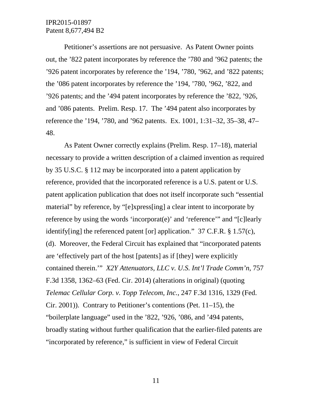Petitioner's assertions are not persuasive. As Patent Owner points out, the '822 patent incorporates by reference the '780 and '962 patents; the '926 patent incorporates by reference the '194, '780, '962, and '822 patents; the '086 patent incorporates by reference the '194, '780, '962, '822, and '926 patents; and the '494 patent incorporates by reference the '822, '926, and '086 patents. Prelim. Resp. 17. The '494 patent also incorporates by reference the '194, '780, and '962 patents. Ex. 1001, 1:31–32, 35–38, 47– 48.

As Patent Owner correctly explains (Prelim. Resp. 17–18), material necessary to provide a written description of a claimed invention as required by 35 U.S.C. § 112 may be incorporated into a patent application by reference, provided that the incorporated reference is a U.S. patent or U.S. patent application publication that does not itself incorporate such "essential material" by reference, by "[e]xpress[ing] a clear intent to incorporate by reference by using the words 'incorporat(e)' and 'reference'" and "[c]learly identify[ing] the referenced patent [or] application." 37 C.F.R. § 1.57(c), (d). Moreover, the Federal Circuit has explained that "incorporated patents are 'effectively part of the host [patents] as if [they] were explicitly contained therein.'" *X2Y Attenuators, LLC v. U.S. Int'l Trade Comm'n*, 757 F.3d 1358, 1362–63 (Fed. Cir. 2014) (alterations in original) (quoting *Telemac Cellular Corp. v. Topp Telecom, Inc.*, 247 F.3d 1316, 1329 (Fed. Cir. 2001)). Contrary to Petitioner's contentions (Pet. 11–15), the "boilerplate language" used in the '822, '926, '086, and '494 patents, broadly stating without further qualification that the earlier-filed patents are "incorporated by reference," is sufficient in view of Federal Circuit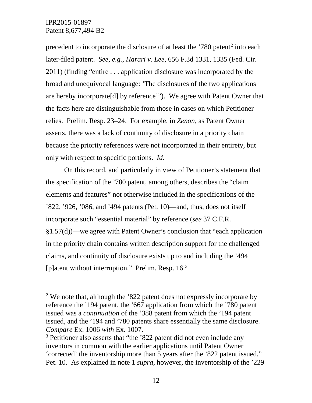precedent to incorporate the disclosure of at least the  $'780$  patent<sup>[2](#page-11-0)</sup> into each later-filed patent. *See, e.g.*, *Harari v. Lee*, 656 F.3d 1331, 1335 (Fed. Cir. 2011) (finding "entire . . . application disclosure was incorporated by the broad and unequivocal language: 'The disclosures of the two applications are hereby incorporate[d] by reference'"). We agree with Patent Owner that the facts here are distinguishable from those in cases on which Petitioner relies. Prelim. Resp. 23–24. For example, in *Zenon*, as Patent Owner asserts, there was a lack of continuity of disclosure in a priority chain because the priority references were not incorporated in their entirety, but only with respect to specific portions. *Id.*

On this record, and particularly in view of Petitioner's statement that the specification of the '780 patent, among others, describes the "claim elements and features" not otherwise included in the specifications of the '822, '926, '086, and '494 patents (Pet. 10)—and, thus, does not itself incorporate such "essential material" by reference (*see* 37 C.F.R. §1.57(d))—we agree with Patent Owner's conclusion that "each application in the priority chain contains written description support for the challenged claims, and continuity of disclosure exists up to and including the '494 [p]atent without interruption." Prelim. Resp. 16.<sup>3</sup>

<span id="page-11-0"></span> $2$  We note that, although the  $322$  patent does not expressly incorporate by reference the '194 patent, the '667 application from which the '780 patent issued was a *continuation* of the '388 patent from which the '194 patent issued, and the '194 and '780 patents share essentially the same disclosure. *Compare* Ex. 1006 *with* Ex. 1007.

<span id="page-11-1"></span><sup>&</sup>lt;sup>3</sup> Petitioner also asserts that "the '822 patent did not even include any inventors in common with the earlier applications until Patent Owner 'corrected' the inventorship more than 5 years after the '822 patent issued." Pet. 10. As explained in note 1 *supra*, however, the inventorship of the '229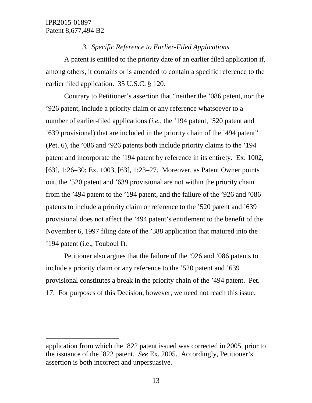$\overline{a}$ 

## *3. Specific Reference to Earlier-Filed Applications*

A patent is entitled to the priority date of an earlier filed application if, among others, it contains or is amended to contain a specific reference to the earlier filed application. 35 U.S.C. § 120.

Contrary to Petitioner's assertion that "neither the '086 patent, nor the '926 patent, include a priority claim or any reference whatsoever to a number of earlier-filed applications (*i.e.*, the '194 patent, '520 patent and '639 provisional) that are included in the priority chain of the '494 patent" (Pet. 6), the '086 and '926 patents both include priority claims to the '194 patent and incorporate the '194 patent by reference in its entirety. Ex. 1002, [63], 1:26–30; Ex. 1003, [63], 1:23–27. Moreover, as Patent Owner points out, the '520 patent and '639 provisional are not within the priority chain from the '494 patent to the '194 patent, and the failure of the '926 and '086 patents to include a priority claim or reference to the '520 patent and '639 provisional does not affect the '494 patent's entitlement to the benefit of the November 6, 1997 filing date of the '388 application that matured into the '194 patent (i.e., Touboul I).

Petitioner also argues that the failure of the '926 and '086 patents to include a priority claim or any reference to the '520 patent and '639 provisional constitutes a break in the priority chain of the '494 patent. Pet. 17. For purposes of this Decision, however, we need not reach this issue.

application from which the '822 patent issued was corrected in 2005, prior to the issuance of the '822 patent. *See* Ex. 2005. Accordingly, Petitioner's assertion is both incorrect and unpersuasive.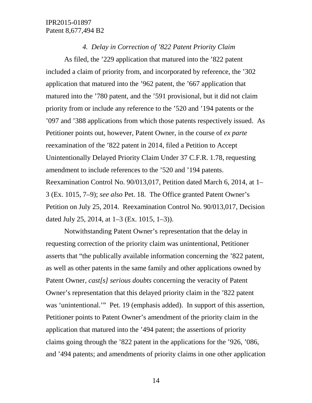#### *4. Delay in Correction of '822 Patent Priority Claim*

As filed, the '229 application that matured into the '822 patent included a claim of priority from, and incorporated by reference, the '302 application that matured into the '962 patent, the '667 application that matured into the '780 patent, and the '591 provisional, but it did not claim priority from or include any reference to the '520 and '194 patents or the '097 and '388 applications from which those patents respectively issued. As Petitioner points out, however, Patent Owner, in the course of *ex parte* reexamination of the '822 patent in 2014, filed a Petition to Accept Unintentionally Delayed Priority Claim Under 37 C.F.R. 1.78, requesting amendment to include references to the '520 and '194 patents. Reexamination Control No. 90/013,017, Petition dated March 6, 2014, at 1– 3 (Ex. 1015, 7–9); *see also* Pet. 18. The Office granted Patent Owner's Petition on July 25, 2014. Reexamination Control No. 90/013,017, Decision dated July 25, 2014, at 1–3 (Ex. 1015, 1–3)).

Notwithstanding Patent Owner's representation that the delay in requesting correction of the priority claim was unintentional, Petitioner asserts that "the publically available information concerning the '822 patent, as well as other patents in the same family and other applications owned by Patent Owner, *cast[s] serious doubts* concerning the veracity of Patent Owner's representation that this delayed priority claim in the '822 patent was 'unintentional.'" Pet. 19 (emphasis added). In support of this assertion, Petitioner points to Patent Owner's amendment of the priority claim in the application that matured into the '494 patent; the assertions of priority claims going through the '822 patent in the applications for the '926, '086, and '494 patents; and amendments of priority claims in one other application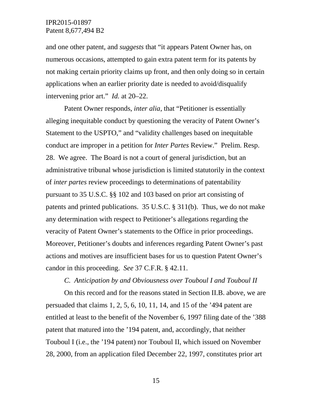and one other patent, and *suggests* that "it appears Patent Owner has, on numerous occasions, attempted to gain extra patent term for its patents by not making certain priority claims up front, and then only doing so in certain applications when an earlier priority date is needed to avoid/disqualify intervening prior art." *Id.* at 20–22.

Patent Owner responds, *inter alia*, that "Petitioner is essentially alleging inequitable conduct by questioning the veracity of Patent Owner's Statement to the USPTO," and "validity challenges based on inequitable conduct are improper in a petition for *Inter Partes* Review." Prelim. Resp. 28. We agree. The Board is not a court of general jurisdiction, but an administrative tribunal whose jurisdiction is limited statutorily in the context of *inter partes* review proceedings to determinations of patentability pursuant to 35 U.S.C. §§ 102 and 103 based on prior art consisting of patents and printed publications. 35 U.S.C. § 311(b). Thus, we do not make any determination with respect to Petitioner's allegations regarding the veracity of Patent Owner's statements to the Office in prior proceedings. Moreover, Petitioner's doubts and inferences regarding Patent Owner's past actions and motives are insufficient bases for us to question Patent Owner's candor in this proceeding. *See* 37 C.F.R. § 42.11.

#### *C. Anticipation by and Obviousness over Touboul I and Touboul II*

On this record and for the reasons stated in Section II.B. above, we are persuaded that claims 1, 2, 5, 6, 10, 11, 14, and 15 of the '494 patent are entitled at least to the benefit of the November 6, 1997 filing date of the '388 patent that matured into the '194 patent, and, accordingly, that neither Touboul I (i.e., the '194 patent) nor Touboul II, which issued on November 28, 2000, from an application filed December 22, 1997, constitutes prior art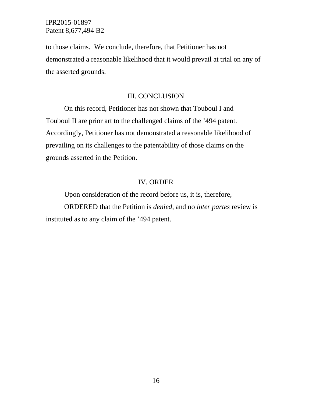to those claims. We conclude, therefore, that Petitioner has not demonstrated a reasonable likelihood that it would prevail at trial on any of the asserted grounds.

## III. CONCLUSION

On this record, Petitioner has not shown that Touboul I and Touboul II are prior art to the challenged claims of the '494 patent. Accordingly, Petitioner has not demonstrated a reasonable likelihood of prevailing on its challenges to the patentability of those claims on the grounds asserted in the Petition.

#### IV. ORDER

Upon consideration of the record before us, it is, therefore, ORDERED that the Petition is *denied*, and no *inter partes* review is instituted as to any claim of the '494 patent.